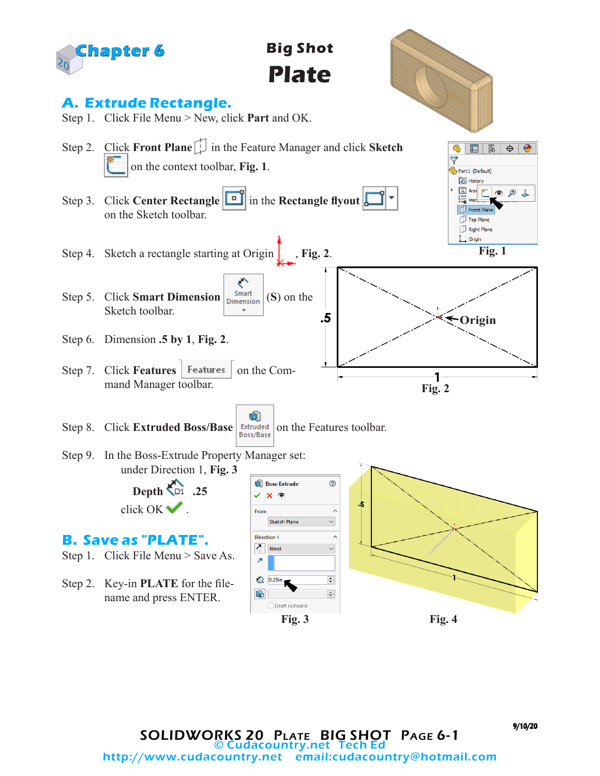

9/10/20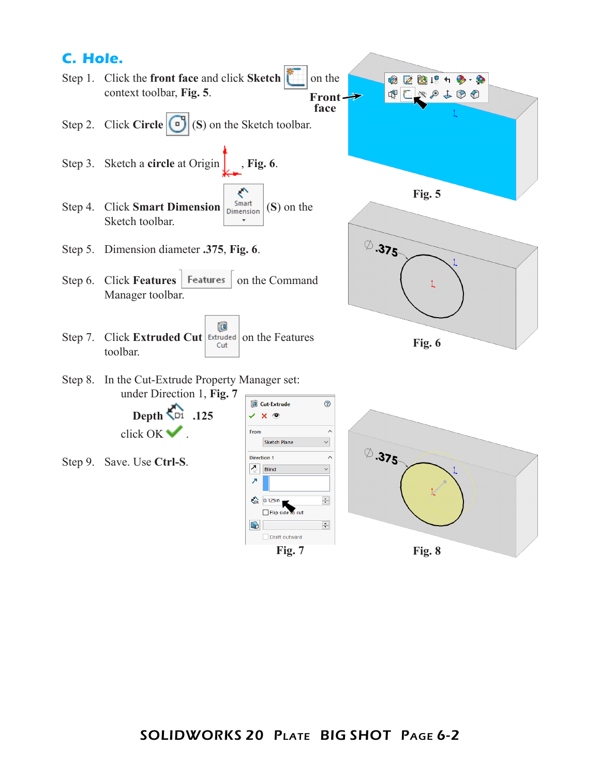

**Fig. 7 Fig. 8**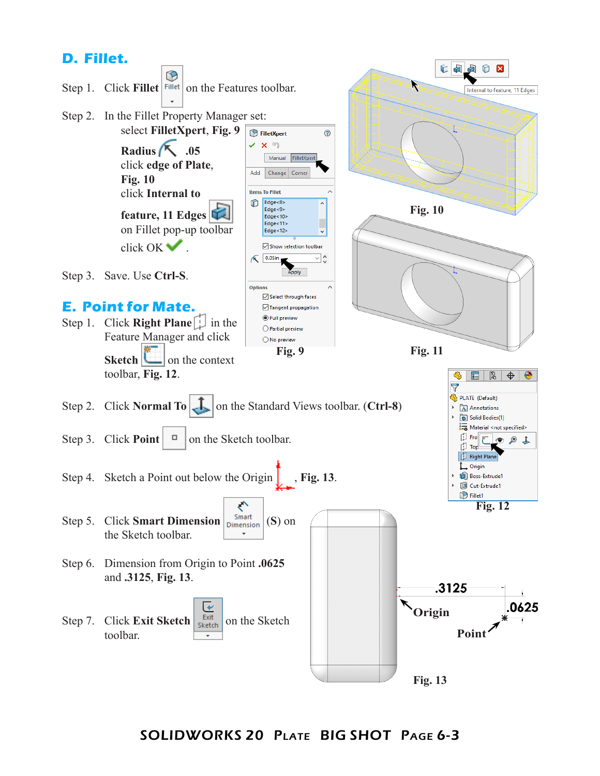## **D. Fillet.**